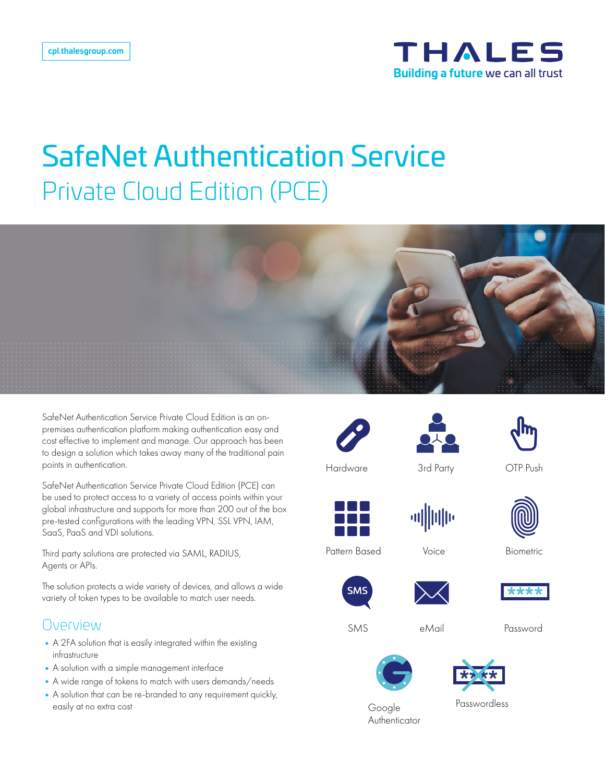

# SafeNet Authentication Service Private Cloud Edition (PCE)



SafeNet Authentication Service Private Cloud Edition is an onpremises authentication platform making authentication easy and cost effective to implement and manage. Our approach has been to design a solution which takes away many of the traditional pain points in authentication.

SafeNet Authentication Service Private Cloud Edition (PCE) can be used to protect access to a variety of access points within your global infrastructure and supports for more than 200 out of the box pre-tested configurations with the leading VPN, SSL VPN, IAM, SaaS, PaaS and VDI solutions.

Third party solutions are protected via SAML, RADIUS, Agents or APIs.

The solution protects a wide variety of devices, and allows a wide variety of token types to be available to match user needs.

#### Overview

- A 2FA solution that is easily integrated within the existing infrastructure
- •A solution with a simple management interface
- •A wide range of tokens to match with users demands/needs
- •A solution that can be re-branded to any requirement quickly, easily at no extra cost







3rd Party OTP Push



Voice Biometric





Password





Google Authenticator

Passwordless